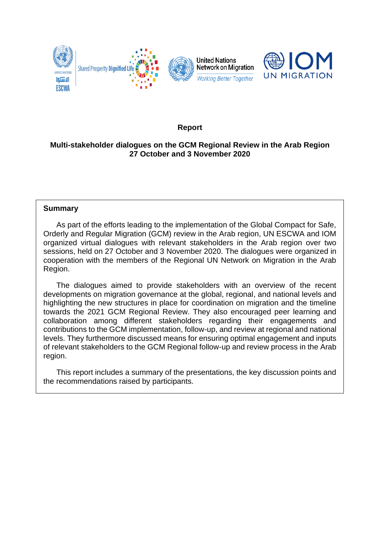

# **Report**

# **Multi-stakeholder dialogues on the GCM Regional Review in the Arab Region 27 October and 3 November 2020**

#### **Summary**

As part of the efforts leading to the implementation of the Global Compact for Safe, Orderly and Regular Migration (GCM) review in the Arab region, UN ESCWA and IOM organized virtual dialogues with relevant stakeholders in the Arab region over two sessions, held on 27 October and 3 November 2020. The dialogues were organized in cooperation with the members of the Regional UN Network on Migration in the Arab Region.

The dialogues aimed to provide stakeholders with an overview of the recent developments on migration governance at the global, regional, and national levels and highlighting the new structures in place for coordination on migration and the timeline towards the 2021 GCM Regional Review. They also encouraged peer learning and collaboration among different stakeholders regarding their engagements and contributions to the GCM implementation, follow-up, and review at regional and national levels. They furthermore discussed means for ensuring optimal engagement and inputs of relevant stakeholders to the GCM Regional follow-up and review process in the Arab region.

This report includes a summary of the presentations, the key discussion points and the recommendations raised by participants.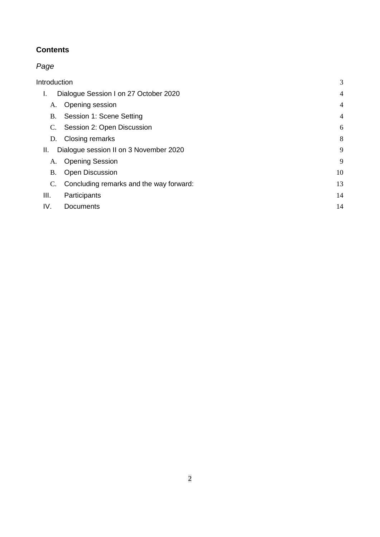# **Contents**

# *Page*

| Introduction<br>Dialogue Session I on 27 October 2020<br>Τ. |                                         | 3              |
|-------------------------------------------------------------|-----------------------------------------|----------------|
|                                                             |                                         | $\overline{4}$ |
| A.                                                          | Opening session                         | $\overline{4}$ |
| <b>B.</b>                                                   | Session 1: Scene Setting                | $\overline{4}$ |
| C.                                                          | Session 2: Open Discussion              | 6              |
| D.                                                          | Closing remarks                         | 8              |
| Dialogue session II on 3 November 2020<br>Ш.                |                                         | 9              |
| A.                                                          | <b>Opening Session</b>                  | 9              |
| B.                                                          | <b>Open Discussion</b>                  | 10             |
| C.                                                          | Concluding remarks and the way forward: | 13             |
| III.                                                        | Participants                            | 14             |
| IV.                                                         | Documents                               | 14             |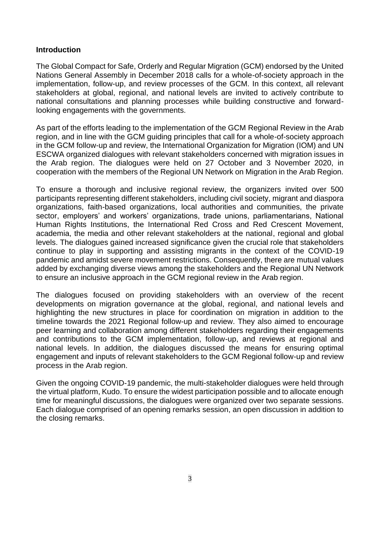#### <span id="page-2-0"></span>**Introduction**

The Global Compact for Safe, Orderly and Regular Migration (GCM) endorsed by the United Nations General Assembly in December 2018 calls for a whole-of-society approach in the implementation, follow-up, and review processes of the GCM. In this context, all relevant stakeholders at global, regional, and national levels are invited to actively contribute to national consultations and planning processes while building constructive and forwardlooking engagements with the governments.

As part of the efforts leading to the implementation of the GCM Regional Review in the Arab region, and in line with the GCM guiding principles that call for a whole-of-society approach in the GCM follow-up and review, the International Organization for Migration (IOM) and UN ESCWA organized dialogues with relevant stakeholders concerned with migration issues in the Arab region. The dialogues were held on 27 October and 3 November 2020, in cooperation with the members of the Regional UN Network on Migration in the Arab Region.

To ensure a thorough and inclusive regional review, the organizers invited over 500 participants representing different stakeholders, including civil society, migrant and diaspora organizations, faith-based organizations, local authorities and communities, the private sector, employers' and workers' organizations, trade unions, parliamentarians, National Human Rights Institutions, the International Red Cross and Red Crescent Movement, academia, the media and other relevant stakeholders at the national, regional and global levels. The dialogues gained increased significance given the crucial role that stakeholders continue to play in supporting and assisting migrants in the context of the COVID-19 pandemic and amidst severe movement restrictions. Consequently, there are mutual values added by exchanging diverse views among the stakeholders and the Regional UN Network to ensure an inclusive approach in the GCM regional review in the Arab region.

The dialogues focused on providing stakeholders with an overview of the recent developments on migration governance at the global, regional, and national levels and highlighting the new structures in place for coordination on migration in addition to the timeline towards the 2021 Regional follow-up and review. They also aimed to encourage peer learning and collaboration among different stakeholders regarding their engagements and contributions to the GCM implementation, follow-up, and reviews at regional and national levels. In addition, the dialogues discussed the means for ensuring optimal engagement and inputs of relevant stakeholders to the GCM Regional follow-up and review process in the Arab region.

Given the ongoing COVID-19 pandemic, the multi-stakeholder dialogues were held through the virtual platform, Kudo. To ensure the widest participation possible and to allocate enough time for meaningful discussions, the dialogues were organized over two separate sessions. Each dialogue comprised of an opening remarks session, an open discussion in addition to the closing remarks.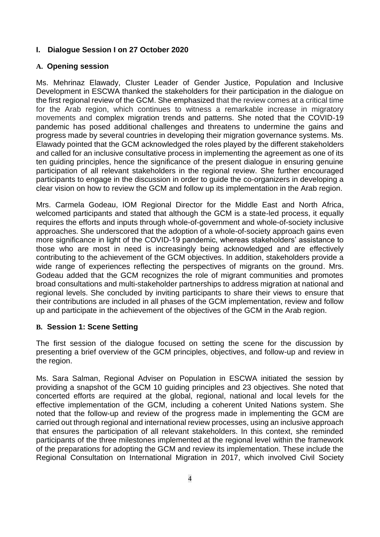#### <span id="page-3-0"></span>**I. Dialogue Session I on 27 October 2020**

#### <span id="page-3-1"></span>**A. Opening session**

Ms. Mehrinaz Elawady, Cluster Leader of Gender Justice, Population and Inclusive Development in ESCWA thanked the stakeholders for their participation in the dialogue on the first regional review of the GCM. She emphasized that the review comes at a critical time for the Arab region, which continues to witness a remarkable increase in migratory movements and complex migration trends and patterns. She noted that the COVID-19 pandemic has posed additional challenges and threatens to undermine the gains and progress made by several countries in developing their migration governance systems. Ms. Elawady pointed that the GCM acknowledged the roles played by the different stakeholders and called for an inclusive consultative process in implementing the agreement as one of its ten guiding principles, hence the significance of the present dialogue in ensuring genuine participation of all relevant stakeholders in the regional review. She further encouraged participants to engage in the discussion in order to guide the co-organizers in developing a clear vision on how to review the GCM and follow up its implementation in the Arab region.

Mrs. Carmela Godeau, IOM Regional Director for the Middle East and North Africa, welcomed participants and stated that although the GCM is a state-led process, it equally requires the efforts and inputs through whole-of-government and whole-of-society inclusive approaches. She underscored that the adoption of a whole-of-society approach gains even more significance in light of the COVID-19 pandemic, whereas stakeholders' assistance to those who are most in need is increasingly being acknowledged and are effectively contributing to the achievement of the GCM objectives. In addition, stakeholders provide a wide range of experiences reflecting the perspectives of migrants on the ground. Mrs. Godeau added that the GCM recognizes the role of migrant communities and promotes broad consultations and multi-stakeholder partnerships to address migration at national and regional levels. She concluded by inviting participants to share their views to ensure that their contributions are included in all phases of the GCM implementation, review and follow up and participate in the achievement of the objectives of the GCM in the Arab region.

#### <span id="page-3-2"></span>**B. Session 1: Scene Setting**

The first session of the dialogue focused on setting the scene for the discussion by presenting a brief overview of the GCM principles, objectives, and follow-up and review in the region.

Ms. Sara Salman, Regional Adviser on Population in ESCWA initiated the session by providing a snapshot of the GCM 10 guiding principles and 23 objectives. She noted that concerted efforts are required at the global, regional, national and local levels for the effective implementation of the GCM, including a coherent United Nations system. She noted that the follow-up and review of the progress made in implementing the GCM are carried out through regional and international review processes, using an inclusive approach that ensures the participation of all relevant stakeholders. In this context, she reminded participants of the three milestones implemented at the regional level within the framework of the preparations for adopting the GCM and review its implementation. These include the Regional Consultation on International Migration in 2017, which involved Civil Society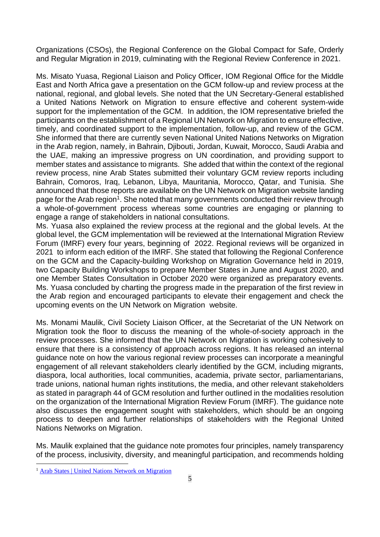Organizations (CSOs), the Regional Conference on the Global Compact for Safe, Orderly and Regular Migration in 2019, culminating with the Regional Review Conference in 2021.

Ms. Misato Yuasa, Regional Liaison and Policy Officer, IOM Regional Office for the Middle East and North Africa gave a presentation on the GCM follow-up and review process at the national, regional, and global levels. She noted that the UN Secretary-General established a United Nations Network on Migration to ensure effective and coherent system-wide support for the implementation of the GCM. In addition, the IOM representative briefed the participants on the establishment of a Regional UN Network on Migration to ensure effective, timely, and coordinated support to the implementation, follow-up, and review of the GCM. She informed that there are currently seven National United Nations Networks on Migration in the Arab region, namely, in Bahrain, Djibouti, Jordan, Kuwait, Morocco, Saudi Arabia and the UAE, making an impressive progress on UN coordination, and providing support to member states and assistance to migrants. She added that within the context of the regional review process, nine Arab States submitted their voluntary GCM review reports including Bahrain, Comoros, Iraq, Lebanon, Libya, Mauritania, Morocco, Qatar, and Tunisia. She announced that those reports are available on the UN Network on Migration website landing page for the Arab region<sup>1</sup>. She noted that many governments conducted their review through a whole-of-government process whereas some countries are engaging or planning to engage a range of stakeholders in national consultations.

Ms. Yuasa also explained the review process at the regional and the global levels. At the global level, the GCM implementation will be reviewed at the International Migration Review Forum (IMRF) every four years, beginning of 2022. Regional reviews will be organized in 2021 to inform each edition of the IMRF. She stated that following the Regional Conference on the GCM and the Capacity-building Workshop on Migration Governance held in 2019, two Capacity Building Workshops to prepare Member States in June and August 2020, and one Member States Consultation in October 2020 were organized as preparatory events. Ms. Yuasa concluded by charting the progress made in the preparation of the first review in the Arab region and encouraged participants to elevate their engagement and check the upcoming events on the UN Network on Migration website.

Ms. Monami Maulik, Civil Society Liaison Officer, at the Secretariat of the UN Network on Migration took the floor to discuss the meaning of the whole-of-society approach in the review processes. She informed that the UN Network on Migration is working cohesively to ensure that there is a consistency of approach across regions. It has released an internal guidance note on how the various regional review processes can incorporate a meaningful engagement of all relevant stakeholders clearly identified by the GCM, including migrants, diaspora, local authorities, local communities, academia, private sector, parliamentarians, trade unions, national human rights institutions, the media, and other relevant stakeholders as stated in paragraph 44 of GCM resolution and further outlined in the modalities resolution on the organization of the International Migration Review Forum (IMRF). The guidance note also discusses the engagement sought with stakeholders, which should be an ongoing process to deepen and further relationships of stakeholders with the Regional United Nations Networks on Migration.

Ms. Maulik explained that the guidance note promotes four principles, namely transparency of the process, inclusivity, diversity, and meaningful participation, and recommends holding

<sup>&</sup>lt;sup>1</sup> [Arab States | United Nations Network on Migration](https://migrationnetwork.un.org/country-regional-network/arab-states)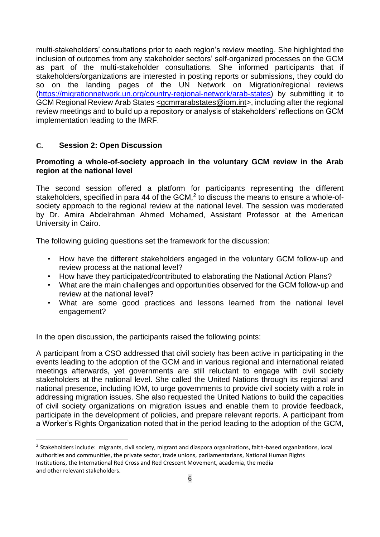multi-stakeholders' consultations prior to each region's review meeting. She highlighted the inclusion of outcomes from any stakeholder sectors' self-organized processes on the GCM as part of the multi-stakeholder consultations. She informed participants that if stakeholders/organizations are interested in posting reports or submissions, they could do so on the landing pages of the UN Network on Migration/regional reviews [\(https://migrationnetwork.un.org/country-regional-network/arab-states\)](https://migrationnetwork.un.org/country-regional-network/arab-states) by submitting it to GCM Regional Review Arab States [<gcmrrarabstates@iom.int>](mailto:%3cgcmrrarabstates@iom.int), including after the regional review meetings and to build up a repository or analysis of stakeholders' reflections on GCM implementation leading to the IMRF.

#### <span id="page-5-0"></span>**C. Session 2: Open Discussion**

#### **Promoting a whole-of-society approach in the voluntary GCM review in the Arab region at the national level**

The second session offered a platform for participants representing the different stakeholders, specified in para 44 of the GCM, $<sup>2</sup>$  to discuss the means to ensure a whole-of-</sup> society approach to the regional review at the national level. The session was moderated by Dr. Amira Abdelrahman Ahmed Mohamed, Assistant Professor at the American University in Cairo.

The following guiding questions set the framework for the discussion:

- How have the different stakeholders engaged in the voluntary GCM follow-up and review process at the national level?
- How have they participated/contributed to elaborating the National Action Plans?
- What are the main challenges and opportunities observed for the GCM follow-up and review at the national level?
- What are some good practices and lessons learned from the national level engagement?

In the open discussion, the participants raised the following points:

A participant from a CSO addressed that civil society has been active in participating in the events leading to the adoption of the GCM and in various regional and international related meetings afterwards, yet governments are still reluctant to engage with civil society stakeholders at the national level. She called the United Nations through its regional and national presence, including IOM, to urge governments to provide civil society with a role in addressing migration issues. She also requested the United Nations to build the capacities of civil society organizations on migration issues and enable them to provide feedback, participate in the development of policies, and prepare relevant reports. A participant from a Worker's Rights Organization noted that in the period leading to the adoption of the GCM,

 $^2$  Stakeholders include: migrants, civil society, migrant and diaspora organizations, faith-based organizations, local authorities and communities, the private sector, trade unions, parliamentarians, National Human Rights Institutions, the International Red Cross and Red Crescent Movement, academia, the media and other relevant stakeholders.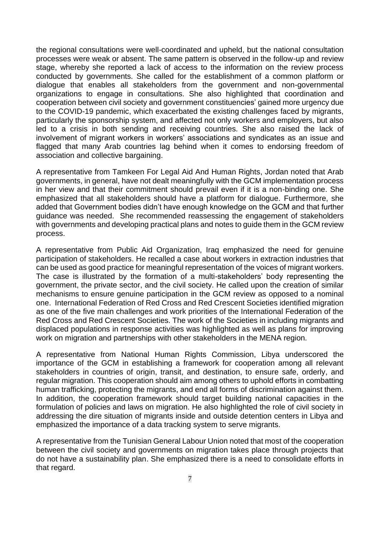the regional consultations were well-coordinated and upheld, but the national consultation processes were weak or absent. The same pattern is observed in the follow-up and review stage, whereby she reported a lack of access to the information on the review process conducted by governments. She called for the establishment of a common platform or dialogue that enables all stakeholders from the government and non-governmental organizations to engage in consultations. She also highlighted that coordination and cooperation between civil society and government constituencies' gained more urgency due to the COVID-19 pandemic, which exacerbated the existing challenges faced by migrants, particularly the sponsorship system, and affected not only workers and employers, but also led to a crisis in both sending and receiving countries. She also raised the lack of involvement of migrant workers in workers' associations and syndicates as an issue and flagged that many Arab countries lag behind when it comes to endorsing freedom of association and collective bargaining.

A representative from Tamkeen For Legal Aid And Human Rights, Jordan noted that Arab governments, in general, have not dealt meaningfully with the GCM implementation process in her view and that their commitment should prevail even if it is a non-binding one. She emphasized that all stakeholders should have a platform for dialogue. Furthermore, she added that Government bodies didn't have enough knowledge on the GCM and that further guidance was needed. She recommended reassessing the engagement of stakeholders with governments and developing practical plans and notes to guide them in the GCM review process.

A representative from Public Aid Organization, Iraq emphasized the need for genuine participation of stakeholders. He recalled a case about workers in extraction industries that can be used as good practice for meaningful representation of the voices of migrant workers. The case is illustrated by the formation of a multi-stakeholders' body representing the government, the private sector, and the civil society. He called upon the creation of similar mechanisms to ensure genuine participation in the GCM review as opposed to a nominal one. International Federation of Red Cross and Red Crescent Societies identified migration as one of the five main challenges and work priorities of the International Federation of the Red Cross and Red Crescent Societies. The work of the Societies in including migrants and displaced populations in response activities was highlighted as well as plans for improving work on migration and partnerships with other stakeholders in the MENA region.

A representative from National Human Rights Commission, Libya underscored the importance of the GCM in establishing a framework for cooperation among all relevant stakeholders in countries of origin, transit, and destination, to ensure safe, orderly, and regular migration. This cooperation should aim among others to uphold efforts in combatting human trafficking, protecting the migrants, and end all forms of discrimination against them. In addition, the cooperation framework should target building national capacities in the formulation of policies and laws on migration. He also highlighted the role of civil society in addressing the dire situation of migrants inside and outside detention centers in Libya and emphasized the importance of a data tracking system to serve migrants.

A representative from the Tunisian General Labour Union noted that most of the cooperation between the civil society and governments on migration takes place through projects that do not have a sustainability plan. She emphasized there is a need to consolidate efforts in that regard.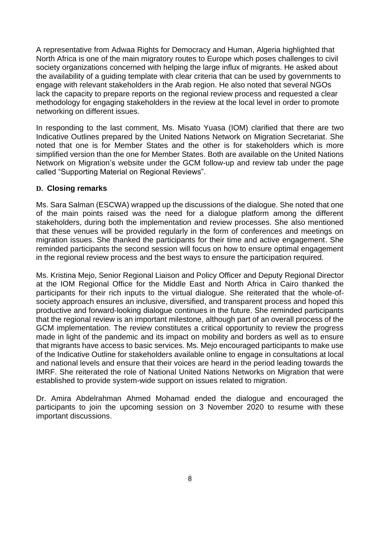A representative from Adwaa Rights for Democracy and Human, Algeria highlighted that North Africa is one of the main migratory routes to Europe which poses challenges to civil society organizations concerned with helping the large influx of migrants. He asked about the availability of a guiding template with clear criteria that can be used by governments to engage with relevant stakeholders in the Arab region. He also noted that several NGOs lack the capacity to prepare reports on the regional review process and requested a clear methodology for engaging stakeholders in the review at the local level in order to promote networking on different issues.

In responding to the last comment, Ms. Misato Yuasa (IOM) clarified that there are two Indicative Outlines prepared by the United Nations Network on Migration Secretariat. She noted that one is for Member States and the other is for stakeholders which is more simplified version than the one for Member States. Both are available on the United Nations Network on Migration's website under the GCM follow-up and review tab under the page called "Supporting Material on Regional Reviews".

#### <span id="page-7-0"></span>**D. Closing remarks**

Ms. Sara Salman (ESCWA) wrapped up the discussions of the dialogue. She noted that one of the main points raised was the need for a dialogue platform among the different stakeholders, during both the implementation and review processes. She also mentioned that these venues will be provided regularly in the form of conferences and meetings on migration issues. She thanked the participants for their time and active engagement. She reminded participants the second session will focus on how to ensure optimal engagement in the regional review process and the best ways to ensure the participation required.

Ms. Kristina Mejo, Senior Regional Liaison and Policy Officer and Deputy Regional Director at the IOM Regional Office for the Middle East and North Africa in Cairo thanked the participants for their rich inputs to the virtual dialogue. She reiterated that the whole-ofsociety approach ensures an inclusive, diversified, and transparent process and hoped this productive and forward-looking dialogue continues in the future. She reminded participants that the regional review is an important milestone, although part of an overall process of the GCM implementation. The review constitutes a critical opportunity to review the progress made in light of the pandemic and its impact on mobility and borders as well as to ensure that migrants have access to basic services. Ms. Mejo encouraged participants to make use of the Indicative Outline for stakeholders available online to engage in consultations at local and national levels and ensure that their voices are heard in the period leading towards the IMRF. She reiterated the role of National United Nations Networks on Migration that were established to provide system-wide support on issues related to migration.

Dr. Amira Abdelrahman Ahmed Mohamad ended the dialogue and encouraged the participants to join the upcoming session on 3 November 2020 to resume with these important discussions.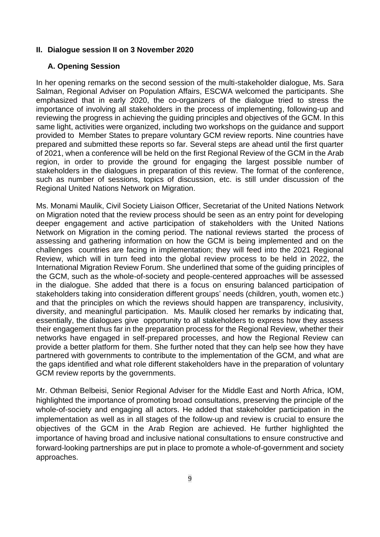#### <span id="page-8-0"></span>**II. Dialogue session II on 3 November 2020**

#### <span id="page-8-1"></span>**A. Opening Session**

In her opening remarks on the second session of the multi-stakeholder dialogue, Ms. Sara Salman, Regional Adviser on Population Affairs, ESCWA welcomed the participants. She emphasized that in early 2020, the co-organizers of the dialogue tried to stress the importance of involving all stakeholders in the process of implementing, following-up and reviewing the progress in achieving the guiding principles and objectives of the GCM. In this same light, activities were organized, including two workshops on the guidance and support provided to Member States to prepare voluntary GCM review reports. Nine countries have prepared and submitted these reports so far. Several steps are ahead until the first quarter of 2021, when a conference will be held on the first Regional Review of the GCM in the Arab region, in order to provide the ground for engaging the largest possible number of stakeholders in the dialogues in preparation of this review. The format of the conference, such as number of sessions, topics of discussion, etc. is still under discussion of the Regional United Nations Network on Migration.

Ms. Monami Maulik, Civil Society Liaison Officer, Secretariat of the United Nations Network on Migration noted that the review process should be seen as an entry point for developing deeper engagement and active participation of stakeholders with the United Nations Network on Migration in the coming period. The national reviews started the process of assessing and gathering information on how the GCM is being implemented and on the challenges countries are facing in implementation; they will feed into the 2021 Regional Review, which will in turn feed into the global review process to be held in 2022, the International Migration Review Forum. She underlined that some of the guiding principles of the GCM, such as the whole-of-society and people-centered approaches will be assessed in the dialogue. She added that there is a focus on ensuring balanced participation of stakeholders taking into consideration different groups' needs (children, youth, women etc.) and that the principles on which the reviews should happen are transparency, inclusivity, diversity, and meaningful participation. Ms. Maulik closed her remarks by indicating that, essentially, the dialogues give opportunity to all stakeholders to express how they assess their engagement thus far in the preparation process for the Regional Review, whether their networks have engaged in self-prepared processes, and how the Regional Review can provide a better platform for them. She further noted that they can help see how they have partnered with governments to contribute to the implementation of the GCM, and what are the gaps identified and what role different stakeholders have in the preparation of voluntary GCM review reports by the governments.

Mr. Othman Belbeisi, Senior Regional Adviser for the Middle East and North Africa, IOM, highlighted the importance of promoting broad consultations, preserving the principle of the whole-of-society and engaging all actors. He added that stakeholder participation in the implementation as well as in all stages of the follow-up and review is crucial to ensure the objectives of the GCM in the Arab Region are achieved. He further highlighted the importance of having broad and inclusive national consultations to ensure constructive and forward-looking partnerships are put in place to promote a whole-of-government and society approaches.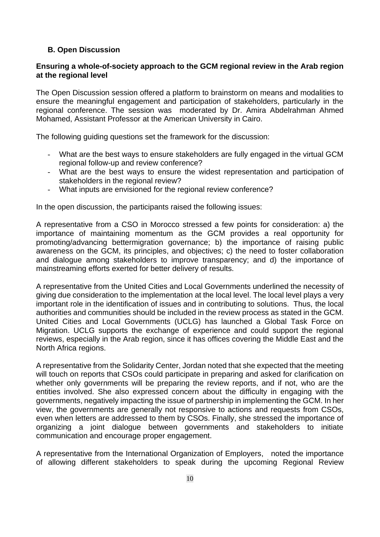## <span id="page-9-0"></span>**B. Open Discussion**

#### **Ensuring a whole-of-society approach to the GCM regional review in the Arab region at the regional level**

The Open Discussion session offered a platform to brainstorm on means and modalities to ensure the meaningful engagement and participation of stakeholders, particularly in the regional conference. The session was moderated by Dr. Amira Abdelrahman Ahmed Mohamed, Assistant Professor at the American University in Cairo.

The following guiding questions set the framework for the discussion:

- What are the best ways to ensure stakeholders are fully engaged in the virtual GCM regional follow-up and review conference?
- What are the best ways to ensure the widest representation and participation of stakeholders in the regional review?
- What inputs are envisioned for the regional review conference?

In the open discussion, the participants raised the following issues:

A representative from a CSO in Morocco stressed a few points for consideration: a) the importance of maintaining momentum as the GCM provides a real opportunity for promoting/advancing bettermigration governance; b) the importance of raising public awareness on the GCM, its principles, and objectives; c) the need to foster collaboration and dialogue among stakeholders to improve transparency; and d) the importance of mainstreaming efforts exerted for better delivery of results.

A representative from the United Cities and Local Governments underlined the necessity of giving due consideration to the implementation at the local level. The local level plays a very important role in the identification of issues and in contributing to solutions. Thus, the local authorities and communities should be included in the review process as stated in the GCM. United Cities and Local Governments (UCLG) has launched a Global Task Force on Migration. UCLG supports the exchange of experience and could support the regional reviews, especially in the Arab region, since it has offices covering the Middle East and the North Africa regions.

A representative from the Solidarity Center, Jordan noted that she expected that the meeting will touch on reports that CSOs could participate in preparing and asked for clarification on whether only governments will be preparing the review reports, and if not, who are the entities involved. She also expressed concern about the difficulty in engaging with the governments, negatively impacting the issue of partnership in implementing the GCM. In her view, the governments are generally not responsive to actions and requests from CSOs, even when letters are addressed to them by CSOs. Finally, she stressed the importance of organizing a joint dialogue between governments and stakeholders to initiate communication and encourage proper engagement.

A representative from the International Organization of Employers, noted the importance of allowing different stakeholders to speak during the upcoming Regional Review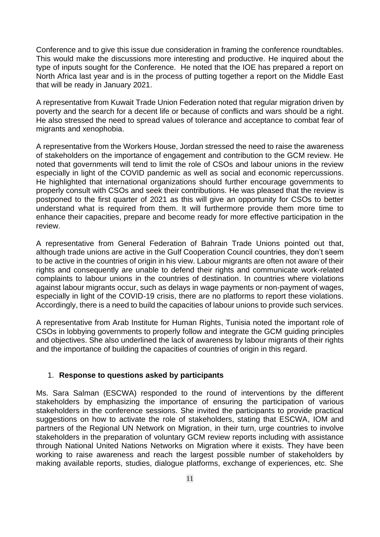Conference and to give this issue due consideration in framing the conference roundtables. This would make the discussions more interesting and productive. He inquired about the type of inputs sought for the Conference. He noted that the IOE has prepared a report on North Africa last year and is in the process of putting together a report on the Middle East that will be ready in January 2021.

A representative from Kuwait Trade Union Federation noted that regular migration driven by poverty and the search for a decent life or because of conflicts and wars should be a right. He also stressed the need to spread values of tolerance and acceptance to combat fear of migrants and xenophobia.

A representative from the Workers House, Jordan stressed the need to raise the awareness of stakeholders on the importance of engagement and contribution to the GCM review. He noted that governments will tend to limit the role of CSOs and labour unions in the review especially in light of the COVID pandemic as well as social and economic repercussions. He highlighted that international organizations should further encourage governments to properly consult with CSOs and seek their contributions. He was pleased that the review is postponed to the first quarter of 2021 as this will give an opportunity for CSOs to better understand what is required from them. It will furthermore provide them more time to enhance their capacities, prepare and become ready for more effective participation in the review.

A representative from General Federation of Bahrain Trade Unions pointed out that, although trade unions are active in the Gulf Cooperation Council countries, they don't seem to be active in the countries of origin in his view. Labour migrants are often not aware of their rights and consequently are unable to defend their rights and communicate work-related complaints to labour unions in the countries of destination. In countries where violations against labour migrants occur, such as delays in wage payments or non-payment of wages, especially in light of the COVID-19 crisis, there are no platforms to report these violations. Accordingly, there is a need to build the capacities of labour unions to provide such services.

A representative from Arab Institute for Human Rights, Tunisia noted the important role of CSOs in lobbying governments to properly follow and integrate the GCM guiding principles and objectives. She also underlined the lack of awareness by labour migrants of their rights and the importance of building the capacities of countries of origin in this regard.

#### 1. **Response to questions asked by participants**

Ms. Sara Salman (ESCWA) responded to the round of interventions by the different stakeholders by emphasizing the importance of ensuring the participation of various stakeholders in the conference sessions. She invited the participants to provide practical suggestions on how to activate the role of stakeholders, stating that ESCWA, IOM and partners of the Regional UN Network on Migration, in their turn, urge countries to involve stakeholders in the preparation of voluntary GCM review reports including with assistance through National United Nations Networks on Migration where it exists. They have been working to raise awareness and reach the largest possible number of stakeholders by making available reports, studies, dialogue platforms, exchange of experiences, etc. She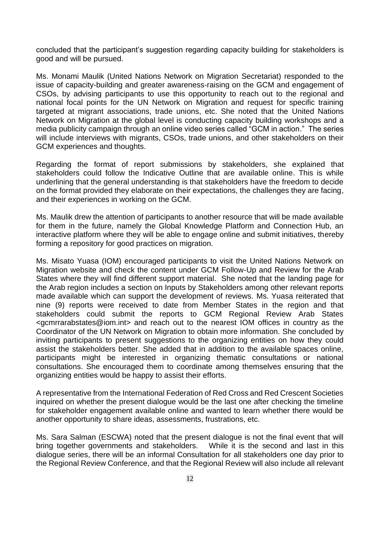concluded that the participant's suggestion regarding capacity building for stakeholders is good and will be pursued.

Ms. Monami Maulik (United Nations Network on Migration Secretariat) responded to the issue of capacity-building and greater awareness-raising on the GCM and engagement of CSOs, by advising participants to use this opportunity to reach out to the regional and national focal points for the UN Network on Migration and request for specific training targeted at migrant associations, trade unions, etc. She noted that the United Nations Network on Migration at the global level is conducting capacity building workshops and a media publicity campaign through an online video series called "GCM in action." The series will include interviews with migrants, CSOs, trade unions, and other stakeholders on their GCM experiences and thoughts.

Regarding the format of report submissions by stakeholders, she explained that stakeholders could follow the Indicative Outline that are available online. This is while underlining that the general understanding is that stakeholders have the freedom to decide on the format provided they elaborate on their expectations, the challenges they are facing, and their experiences in working on the GCM.

Ms. Maulik drew the attention of participants to another resource that will be made available for them in the future, namely the Global Knowledge Platform and Connection Hub, an interactive platform where they will be able to engage online and submit initiatives, thereby forming a repository for good practices on migration.

Ms. Misato Yuasa (IOM) encouraged participants to visit the United Nations Network on Migration website and check the content under GCM Follow-Up and Review for the Arab States where they will find different support material. She noted that the landing page for the Arab region includes a section on Inputs by Stakeholders among other relevant reports made available which can support the development of reviews. Ms. Yuasa reiterated that nine (9) reports were received to date from Member States in the region and that stakeholders could submit the reports to GCM Regional Review Arab States <gcmrrarabstates@iom.int> and reach out to the nearest IOM offices in country as the Coordinator of the UN Network on Migration to obtain more information. She concluded by inviting participants to present suggestions to the organizing entities on how they could assist the stakeholders better. She added that in addition to the available spaces online, participants might be interested in organizing thematic consultations or national consultations. She encouraged them to coordinate among themselves ensuring that the organizing entities would be happy to assist their efforts.

A representative from the International Federation of Red Cross and Red Crescent Societies inquired on whether the present dialogue would be the last one after checking the timeline for stakeholder engagement available online and wanted to learn whether there would be another opportunity to share ideas, assessments, frustrations, etc.

Ms. Sara Salman (ESCWA) noted that the present dialogue is not the final event that will bring together governments and stakeholders. While it is the second and last in this dialogue series, there will be an informal Consultation for all stakeholders one day prior to the Regional Review Conference, and that the Regional Review will also include all relevant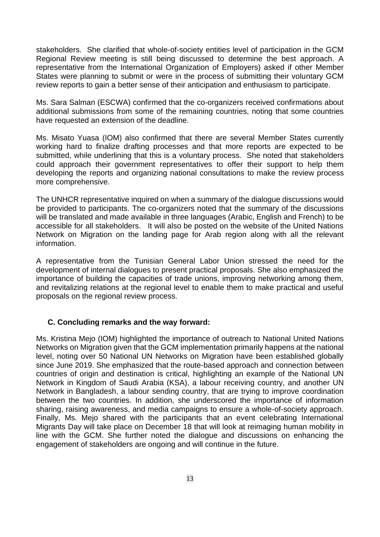stakeholders. She clarified that whole-of-society entities level of participation in the GCM Regional Review meeting is still being discussed to determine the best approach. A representative from the International Organization of Employers) asked if other Member States were planning to submit or were in the process of submitting their voluntary GCM review reports to gain a better sense of their anticipation and enthusiasm to participate.

Ms. Sara Salman (ESCWA) confirmed that the co-organizers received confirmations about additional submissions from some of the remaining countries, noting that some countries have requested an extension of the deadline.

Ms. Misato Yuasa (IOM) also confirmed that there are several Member States currently working hard to finalize drafting processes and that more reports are expected to be submitted, while underlining that this is a voluntary process. She noted that stakeholders could approach their government representatives to offer their support to help them developing the reports and organizing national consultations to make the review process more comprehensive.

The UNHCR representative inquired on when a summary of the dialogue discussions would be provided to participants. The co-organizers noted that the summary of the discussions will be translated and made available in three languages (Arabic, English and French) to be accessible for all stakeholders. It will also be posted on the website of the United Nations Network on Migration on the landing page for Arab region along with all the relevant information.

A representative from the Tunisian General Labor Union stressed the need for the development of internal dialogues to present practical proposals. She also emphasized the importance of building the capacities of trade unions, improving networking among them, and revitalizing relations at the regional level to enable them to make practical and useful proposals on the regional review process.

#### <span id="page-12-0"></span>**C. Concluding remarks and the way forward:**

Ms. Kristina Mejo (IOM) highlighted the importance of outreach to National United Nations Networks on Migration given that the GCM implementation primarily happens at the national level, noting over 50 National UN Networks on Migration have been established globally since June 2019. She emphasized that the route-based approach and connection between countries of origin and destination is critical, highlighting an example of the National UN Network in Kingdom of Saudi Arabia (KSA), a labour receiving country, and another UN Network in Bangladesh, a labour sending country, that are trying to improve coordination between the two countries. In addition, she underscored the importance of information sharing, raising awareness, and media campaigns to ensure a whole-of-society approach. Finally, Ms. Mejo shared with the participants that an event celebrating International Migrants Day will take place on December 18 that will look at reimaging human mobility in line with the GCM. She further noted the dialogue and discussions on enhancing the engagement of stakeholders are ongoing and will continue in the future.